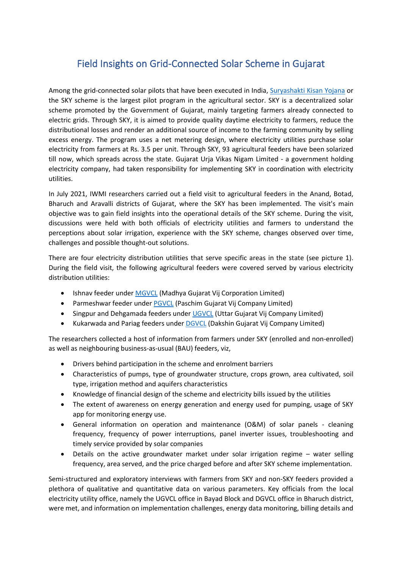## Field Insights on Grid-Connected Solar Scheme in Gujarat

Among the grid-connected solar pilots that have been executed in India, [Suryashakti Kisan Yojana](https://www.gprd.in/sky.php) or the SKY scheme is the largest pilot program in the agricultural sector. SKY is a decentralized solar scheme promoted by the Government of Gujarat, mainly targeting farmers already connected to electric grids. Through SKY, it is aimed to provide quality daytime electricity to farmers, reduce the distributional losses and render an additional source of income to the farming community by selling excess energy. The program uses a net metering design, where electricity utilities purchase solar electricity from farmers at Rs. 3.5 per unit. Through SKY, 93 agricultural feeders have been solarized till now, which spreads across the state. Gujarat Urja Vikas Nigam Limited - a government holding electricity company, had taken responsibility for implementing SKY in coordination with electricity utilities.

In July 2021, IWMI researchers carried out a field visit to agricultural feeders in the Anand, Botad, Bharuch and Aravalli districts of Gujarat, where the SKY has been implemented. The visit's main objective was to gain field insights into the operational details of the SKY scheme. During the visit, discussions were held with both officials of electricity utilities and farmers to understand the perceptions about solar irrigation, experience with the SKY scheme, changes observed over time, challenges and possible thought-out solutions.

There are four electricity distribution utilities that serve specific areas in the state (see picture 1). During the field visit, the following agricultural feeders were covered served by various electricity distribution utilities:

- Ishnav feeder under [MGVCL](https://www.mgvcl.com/) (Madhya Gujarat Vij Corporation Limited)
- Parmeshwar feeder unde[r PGVCL](https://www.pgvcl.com/) (Paschim Gujarat Vij Company Limited)
- Singpur and Dehgamada feeders under [UGVCL](http://www.ugvcl.com/) (Uttar Gujarat Vij Company Limited)
- Kukarwada and Pariag feeders under **DGVCL** (Dakshin Gujarat Vij Company Limited)

The researchers collected a host of information from farmers under SKY (enrolled and non-enrolled) as well as neighbouring business-as-usual (BAU) feeders, viz,

- Drivers behind participation in the scheme and enrolment barriers
- Characteristics of pumps, type of groundwater structure, crops grown, area cultivated, soil type, irrigation method and aquifers characteristics
- Knowledge of financial design of the scheme and electricity bills issued by the utilities
- The extent of awareness on energy generation and energy used for pumping, usage of SKY app for monitoring energy use.
- General information on operation and maintenance (O&M) of solar panels cleaning frequency, frequency of power interruptions, panel inverter issues, troubleshooting and timely service provided by solar companies
- Details on the active groundwater market under solar irrigation regime water selling frequency, area served, and the price charged before and after SKY scheme implementation.

Semi-structured and exploratory interviews with farmers from SKY and non-SKY feeders provided a plethora of qualitative and quantitative data on various parameters. Key officials from the local electricity utility office, namely the UGVCL office in Bayad Block and DGVCL office in Bharuch district, were met, and information on implementation challenges, energy data monitoring, billing details and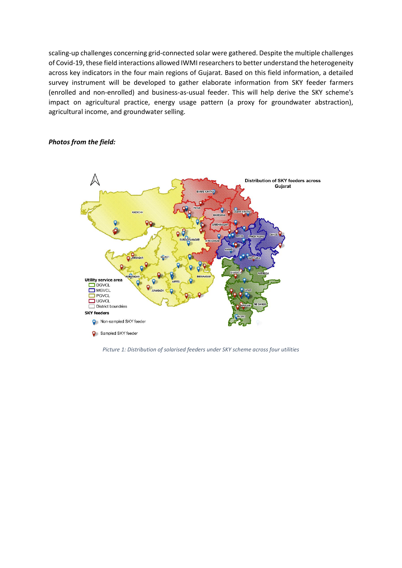scaling-up challenges concerning grid-connected solar were gathered. Despite the multiple challenges of Covid-19, these field interactions allowed IWMI researchers to better understand the heterogeneity across key indicators in the four main regions of Gujarat. Based on this field information, a detailed survey instrument will be developed to gather elaborate information from SKY feeder farmers (enrolled and non-enrolled) and business-as-usual feeder. This will help derive the SKY scheme's impact on agricultural practice, energy usage pattern (a proxy for groundwater abstraction), agricultural income, and groundwater selling.

## *Photos from the field:*



*Picture 1: Distribution of solarised feeders under SKY scheme across four utilities*